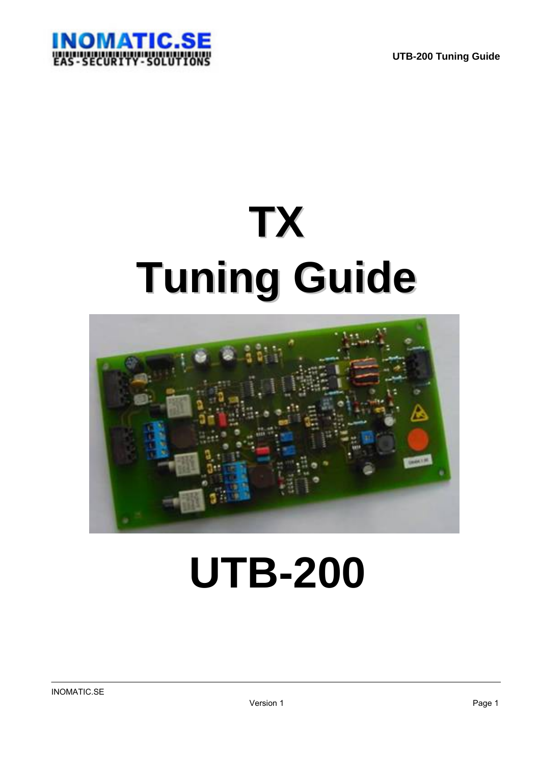

# **TX Tuning Guide**



# **UTB-200**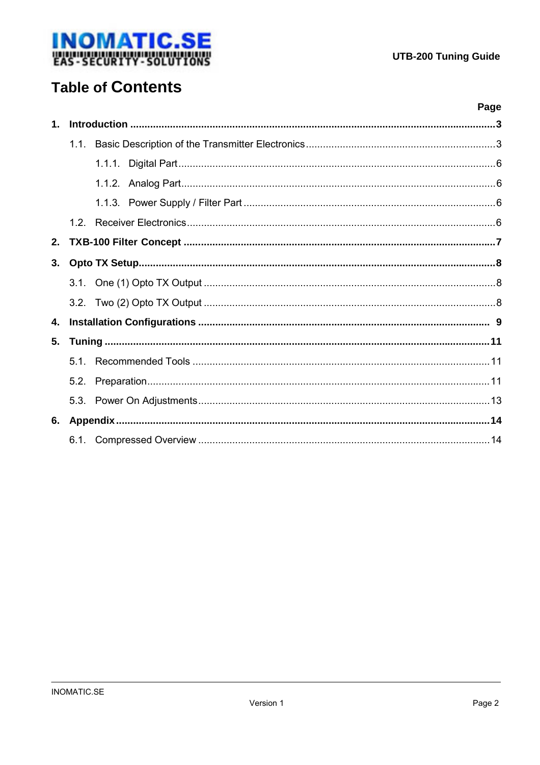

# **Table of Contents**

|               |         | Page |  |  |
|---------------|---------|------|--|--|
| $\mathbf 1$ . |         |      |  |  |
|               | $1.1$ . |      |  |  |
|               |         |      |  |  |
|               |         |      |  |  |
|               |         |      |  |  |
|               |         |      |  |  |
| 2.            |         |      |  |  |
| 3.            |         |      |  |  |
|               |         |      |  |  |
|               |         |      |  |  |
| 4.            |         |      |  |  |
| 5.            |         |      |  |  |
|               |         |      |  |  |
|               |         |      |  |  |
|               |         |      |  |  |
| 6.            |         |      |  |  |
|               |         |      |  |  |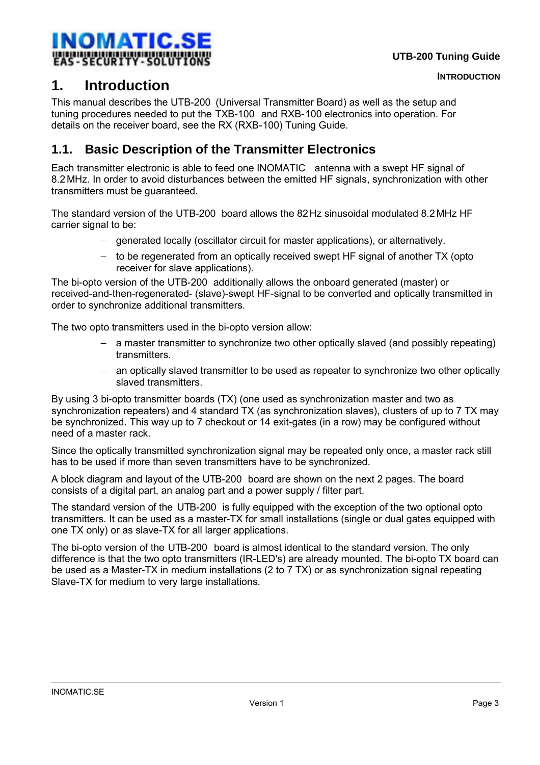<span id="page-2-0"></span>

# **1. Introduction**

This manual describes the UTB-200 (Universal Transmitter Board) as well as the setup and tuning procedures needed to put the TXB-100 and RXB-100 electronics into operation. For details on the receiver board, see the RX (RXB-100) Tuning Guide.

# **1.1. Basic Description of the Transmitter Electronics**

Each transmitter electronic is able to feed one INOMATIC antenna with a swept HF signal of 8.2MHz. In order to avoid disturbances between the emitted HF signals, synchronization with other transmitters must be guaranteed.

The standard version of the UTB-200 board allows the 82Hz sinusoidal modulated 8.2MHz HF carrier signal to be:

- − generated locally (oscillator circuit for master applications), or alternatively.
- − to be regenerated from an optically received swept HF signal of another TX (opto receiver for slave applications).

The bi-opto version of the UTB-200 additionally allows the onboard generated (master) or received-and-then-regenerated- (slave)-swept HF-signal to be converted and optically transmitted in order to synchronize additional transmitters.

The two opto transmitters used in the bi-opto version allow:

- − a master transmitter to synchronize two other optically slaved (and possibly repeating) transmitters.
- − an optically slaved transmitter to be used as repeater to synchronize two other optically slaved transmitters.

By using 3 bi-opto transmitter boards (TX) (one used as synchronization master and two as synchronization repeaters) and 4 standard TX (as synchronization slaves), clusters of up to 7 TX may be synchronized. This way up to 7 checkout or 14 exit-gates (in a row) may be configured without need of a master rack.

Since the optically transmitted synchronization signal may be repeated only once, a master rack still has to be used if more than seven transmitters have to be synchronized.

A block diagram and layout of the UTB-200 board are shown on the next 2 pages. The board consists of a digital part, an analog part and a power supply / filter part.

The standard version of the UTB-200  $\,$  is fully equipped with the exception of the two optional opto transmitters. It can be used as a master-TX for small installations (single or dual gates equipped with one TX only) or as slave-TX for all larger applications.

The bi-opto version of the UTB-200 board is almost identical to the standard version. The only difference is that the two opto transmitters (IR-LED's) are already mounted. The bi-opto TX board can be used as a Master-TX in medium installations (2 to 7 TX) or as synchronization signal repeating Slave-TX for medium to very large installations.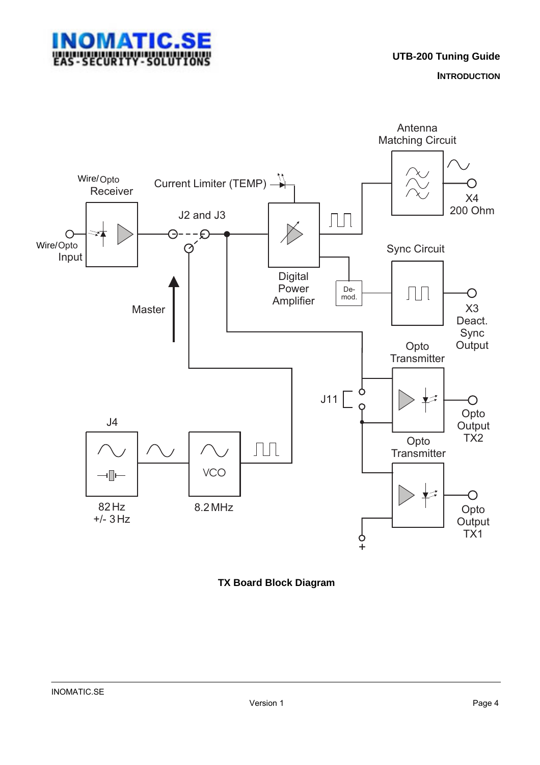

**INTRODUCTION**



**TX Board Block Diagram**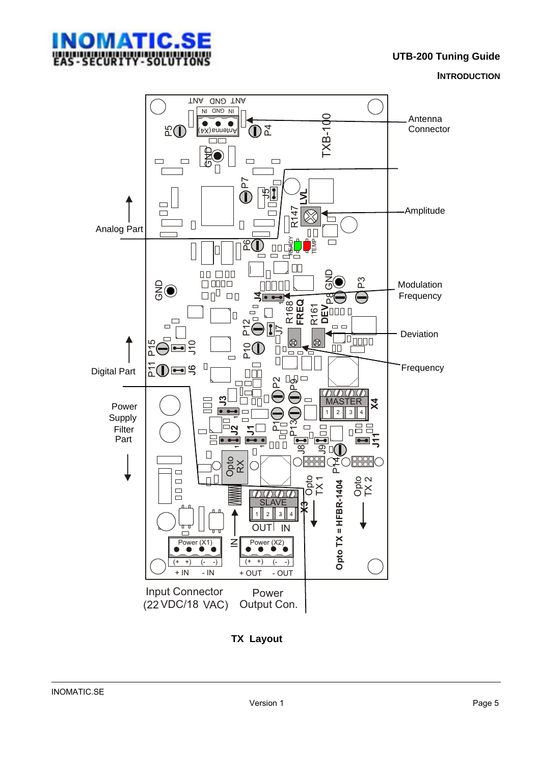

**UTB-200 Tuning Guide**

**INTRODUCTION**



#### **TX Layout**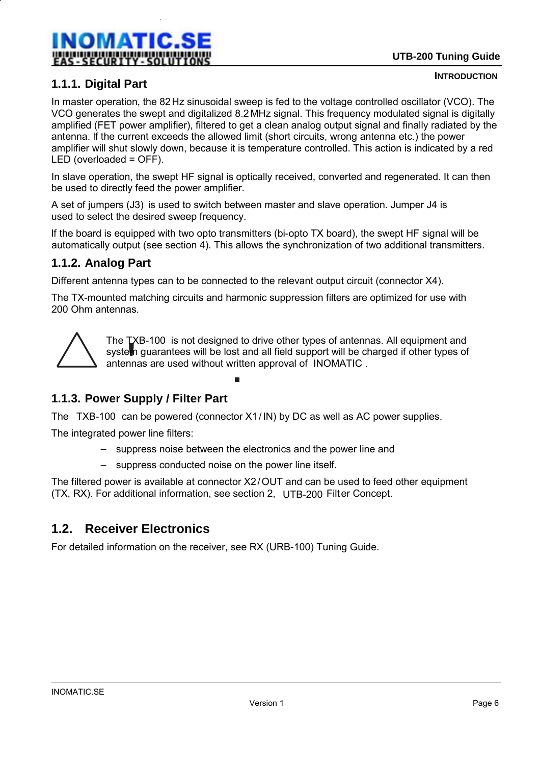<span id="page-5-0"></span>

### **1.1.1. Digital Part**

#### **INTRODUCTION**

In master operation, the 82Hz sinusoidal sweep is fed to the voltage controlled oscillator (VCO). The VCO generates the swept and digitalized 8.2MHz signal. This frequency modulated signal is digitally amplified (FET power amplifier), filtered to get a clean analog output signal and finally radiated by the antenna. lf the current exceeds the allowed limit (short circuits, wrong antenna etc.) the power amplifier will shut slowly down, because it is temperature controlled. This action is indicated by a red LED (overloaded = OFF).

In slave operation, the swept HF signal is optically received, converted and regenerated. It can then be used to directly feed the power amplifier.

A set of jumpers (J3) is used to switch between master and slave operation. Jumper J4 is used to select the desired sweep frequency.

lf the board is equipped with two opto transmitters (bi-opto TX board), the swept HF signal will be automatically output (see section 4). This allows the synchronization of two additional transmitters.

#### **1.1.2. Analog Part**

Different antenna types can to be connected to the relevant output circuit (connector X4).

The TX-mounted matching circuits and harmonic suppression filters are optimized for use with 200 Ohm antennas.



The TXB-100 is not designed to drive other types of antennas. All equipment and system guarantees will be lost and all field support will be charged if other types of antennas are used without written approval of INOMATIC .

# **1.1.3. Power Supply / Filter Part**

The  $TXB-100$  can be powered (connector X1/IN) by DC as well as AC power supplies.

The integrated power line filters:

- − suppress noise between the electronics and the power line and
- − suppress conducted noise on the power line itself.

The filtered power is available at connector X2/OUT and can be used to feed other equipment (TX, RX). For additional information, see section 2,  $\,$  UTB-200 Filt $\,$ er Concept.

# **1.2. Receiver Electronics**

For detailed information on the receiver, see RX (URB-100) Tuning Guide.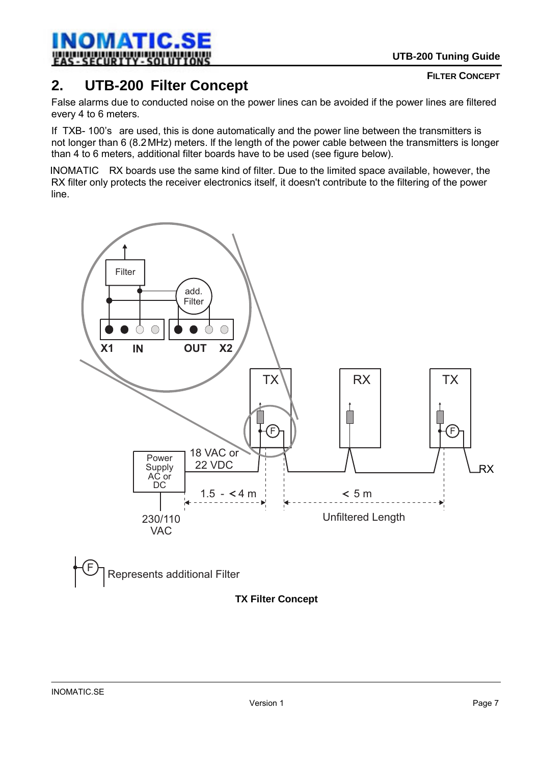

<span id="page-6-0"></span>

# **2. UTB-200 Filter Concept**

False alarms due to conducted noise on the power lines can be avoided if the power lines are filtered every 4 to 6 meters.

If TXB- 100's are used, this is done automatically and the power line between the transmitters is not longer than 6 (8.2MHz) meters. lf the length of the power cable between the transmitters is longer than 4 to 6 meters, additional filter boards have to be used (see figure below).

INOMATIC RX boards use the same kind of filter. Due to the limited space available, however, the RX filter only protects the receiver electronics itself, it doesn't contribute to the filtering of the power line.



# **TX Filter Concept**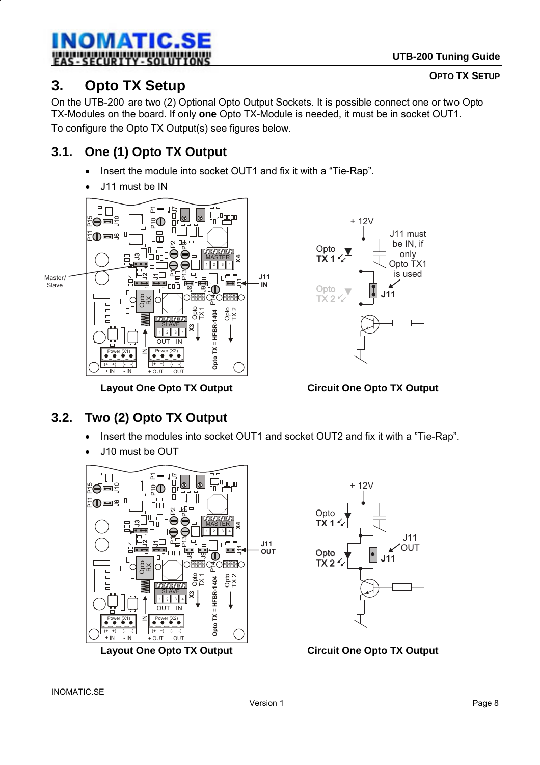#### <span id="page-7-0"></span>**INOMATIC.SE** ļ SECURTY

# **3. Opto TX Setup**

On the UTB-200 are two (2) Optional Opto Output Sockets. It is possible connect one or two Opto TX-Modules on the board. If only **one** Opto TX-Module is needed, it must be in socket OUT1. To configure the Opto TX Output(s) see figures below.

# **3.1. One (1) Opto TX Output**

- Insert the module into socket OUT1 and fix it with a "Tie-Rap".
- J11 must be IN





**Layout One Opto TX Output Circuit One Opto TX Output**

# **3.2. Two (2) Opto TX Output**

- Insert the modules into socket OUT1 and socket OUT2 and fix it with a "Tie-Rap".
- J10 must be OUT



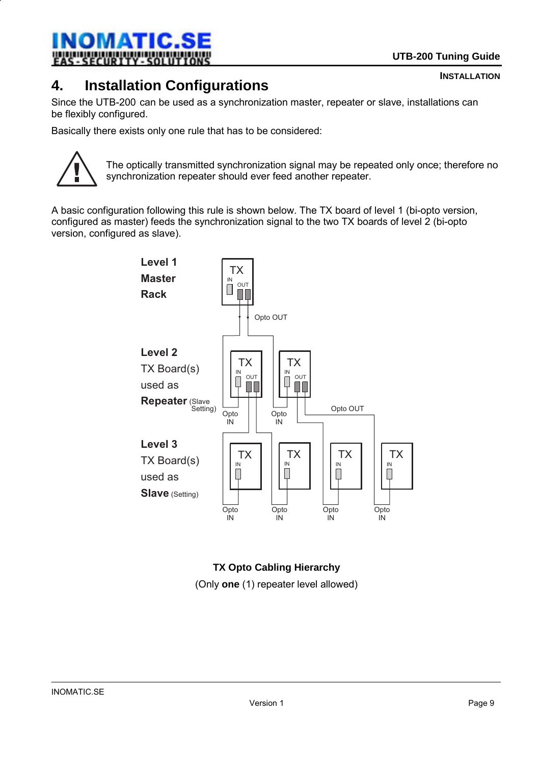

#### <span id="page-8-0"></span>INOMATIC.SE ļ SECURTY

# **4. Installation Configurations**

Since the UTB-200 can be used as a synchronization master, repeater or slave, installations can be flexibly configured.

Basically there exists only one rule that has to be considered:



The optically transmitted synchronization signal may be repeated only once; therefore no synchronization repeater should ever feed another repeater.

A basic configuration following this rule is shown below. The TX board of level 1 (bi-opto version, configured as master) feeds the synchronization signal to the two TX boards of level 2 (bi-opto version, configured as slave).



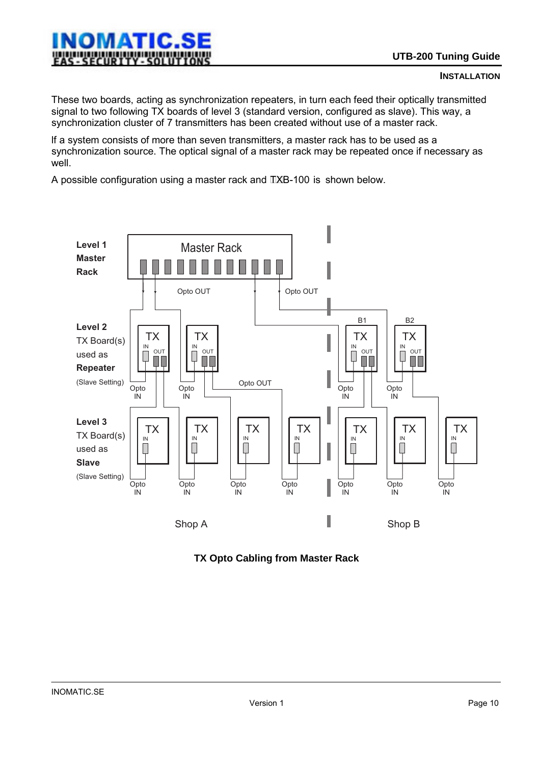These two boards, acting as synchronization repeaters, in turn each feed their optically transmitted signal to two following TX boards of level 3 (standard version, configured as slave). This way, a synchronization cluster of 7 transmitters has been created without use of a master rack.

lf a system consists of more than seven transmitters, a master rack has to be used as a synchronization source. The optical signal of a master rack may be repeated once if necessary as well.

A possible configuration using a master rack and  $IXB-100$  is shown below.



**TX Opto Cabling from Master Rack**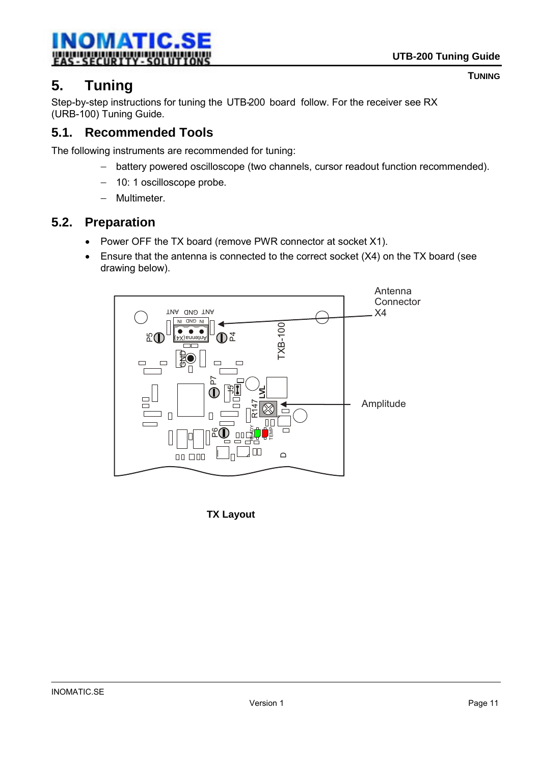<span id="page-10-0"></span>

**TUNING**

# **5. Tuning**

Step-by-step instructions for tuning the UTB-200 board follow. For the receiver see RX (URB-100) Tuning Guide.

# **5.1. Recommended Tools**

The following instruments are recommended for tuning:

- − battery powered oscilloscope (two channels, cursor readout function recommended).
- − 10: 1 oscilloscope probe.
- − Multimeter.

# **5.2. Preparation**

- Power OFF the TX board (remove PWR connector at socket X1).
- Ensure that the antenna is connected to the correct socket (X4) on the TX board (see drawing below).



**TX Layout**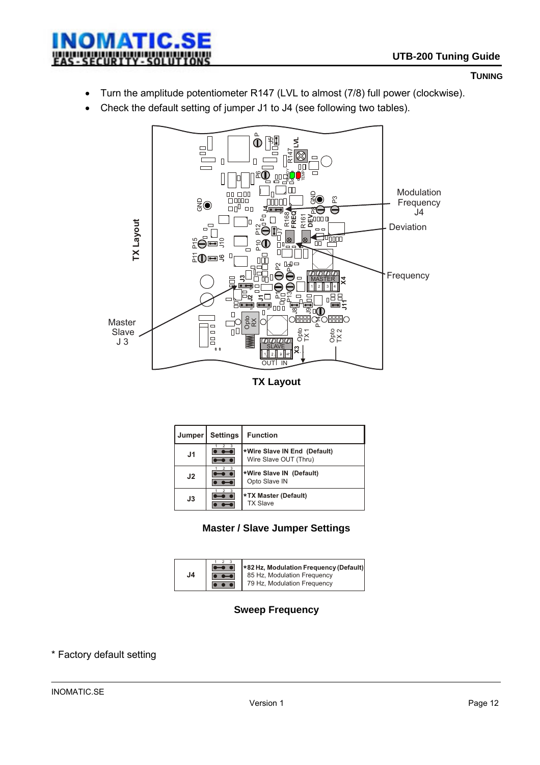

#### **TUNING**

- Turn the amplitude potentiometer R147 (LVL to almost (7/8) full power (clockwise).
- Check the default setting of jumper J1 to J4 (see following two tables).



| Jumper         | <b>Settings</b> | <b>Function</b>                                       |
|----------------|-----------------|-------------------------------------------------------|
| J <sub>1</sub> |                 | *Wire Slave IN End (Default)<br>Wire Slave OUT (Thru) |
| J <sub>2</sub> |                 | *Wire Slave IN (Default)<br>Opto Slave IN             |
| J3             |                 | *TX Master (Default)<br><b>TX Slave</b>               |

#### **Master / Slave Jumper Settings**



#### **Sweep Frequency**

#### \* Factory default setting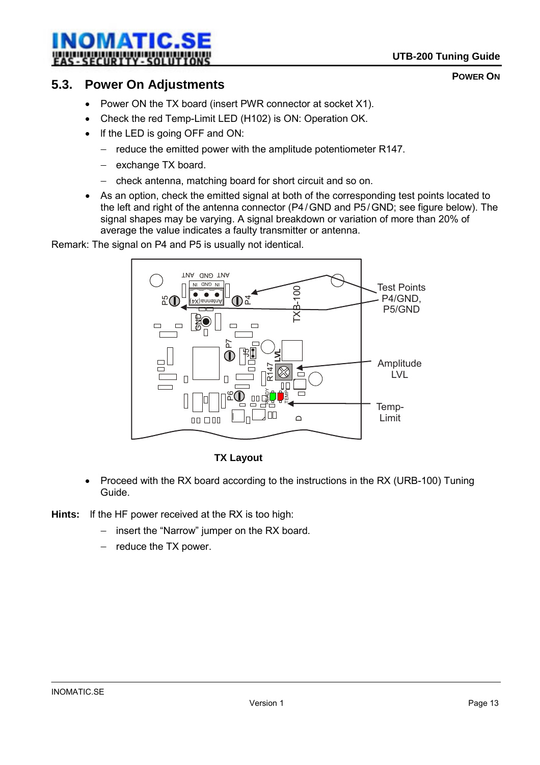### <span id="page-12-0"></span>INOMATIC.SE ļ - SECURITY

**POWER ON**

# **5.3. Power On Adjustments**

- Power ON the TX board (insert PWR connector at socket X1).
- Check the red Temp-Limit LED (H102) is ON: Operation OK.
- lf the LED is going OFF and ON:
	- − reduce the emitted power with the amplitude potentiometer R147.
	- − exchange TX board.
	- − check antenna, matching board for short circuit and so on.
- As an option, check the emitted signal at both of the corresponding test points located to the left and right of the antenna connector (P4/GND and P5/GND; see figure below). The signal shapes may be varying. A signal breakdown or variation of more than 20% of average the value indicates a faulty transmitter or antenna.

Remark: The signal on P4 and P5 is usually not identical.



#### **TX Layout**

- Proceed with the RX board according to the instructions in the RX (URB-100) Tuning Guide.
- **Hints:** lf the HF power received at the RX is too high:
	- − insert the "Narrow" jumper on the RX board.
	- − reduce the TX power.